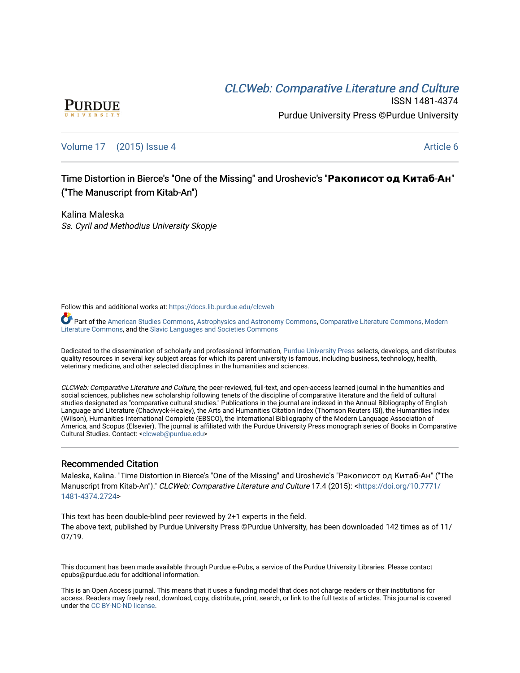# CLCW[eb: Comparative Liter](https://docs.lib.purdue.edu/clcweb)ature and Culture



ISSN 1481-4374 Purdue University Press ©Purdue University

### [Volume 17](https://docs.lib.purdue.edu/clcweb/vol17) | [\(2015\) Issue 4](https://docs.lib.purdue.edu/clcweb/vol17/iss4) Article 6

## Time Dist Time Distortion in Bier tion in Bierce's "One of the Missing" and Ur s of the and Uroshevic's "**Ракописот од Китаб**-**Ан**" ("The Manuscript from Kitab-An")

Kalina Maleska Ss. Cyril and Methodius University Skopje

Follow this and additional works at: [https://docs.lib.purdue.edu/clcweb](https://docs.lib.purdue.edu/clcweb?utm_source=docs.lib.purdue.edu%2Fclcweb%2Fvol17%2Fiss4%2F6&utm_medium=PDF&utm_campaign=PDFCoverPages)

**P** Part of the [American Studies Commons](http://network.bepress.com/hgg/discipline/439?utm_source=docs.lib.purdue.edu%2Fclcweb%2Fvol17%2Fiss4%2F6&utm_medium=PDF&utm_campaign=PDFCoverPages), [Astrophysics and Astronomy Commons](http://network.bepress.com/hgg/discipline/123?utm_source=docs.lib.purdue.edu%2Fclcweb%2Fvol17%2Fiss4%2F6&utm_medium=PDF&utm_campaign=PDFCoverPages), [Comparative Literature Commons,](http://network.bepress.com/hgg/discipline/454?utm_source=docs.lib.purdue.edu%2Fclcweb%2Fvol17%2Fiss4%2F6&utm_medium=PDF&utm_campaign=PDFCoverPages) Modern [Literature Commons,](http://network.bepress.com/hgg/discipline/1050?utm_source=docs.lib.purdue.edu%2Fclcweb%2Fvol17%2Fiss4%2F6&utm_medium=PDF&utm_campaign=PDFCoverPages) and the [Slavic Languages and Societies Commons](http://network.bepress.com/hgg/discipline/486?utm_source=docs.lib.purdue.edu%2Fclcweb%2Fvol17%2Fiss4%2F6&utm_medium=PDF&utm_campaign=PDFCoverPages) 

Dedicated to the dissemination of scholarly and professional information, [Purdue University Press](http://www.thepress.purdue.edu/) selects, develops, and distributes quality resources in several key subject areas for which its parent university is famous, including business, technology, health, veterinary medicine, and other selected disciplines in the humanities and sciences.

CLCWeb: Comparative Literature and Culture, the peer-reviewed, full-text, and open-access learned journal in the humanities and social sciences, publishes new scholarship following tenets of the discipline of comparative literature and the field of cultural studies designated as "comparative cultural studies." Publications in the journal are indexed in the Annual Bibliography of English Language and Literature (Chadwyck-Healey), the Arts and Humanities Citation Index (Thomson Reuters ISI), the Humanities Index (Wilson), Humanities International Complete (EBSCO), the International Bibliography of the Modern Language Association of America, and Scopus (Elsevier). The journal is affiliated with the Purdue University Press monograph series of Books in Comparative Cultural Studies. Contact: [<clcweb@purdue.edu](mailto:clcweb@purdue.edu)>

### Recommended Citation

Maleska, Kalina. "Time Distortion in Bierce's "One of the Missing" and Uroshevic's "Ракописот од Китаб-Ан" ("The Manuscript from Kitab-An")." CLCWeb: Comparative Literature and Culture 17.4 (2015): <[https://doi.org/10.7771/](https://doi.org/10.7771/1481-4374.2724) [1481-4374.2724](https://doi.org/10.7771/1481-4374.2724)>

This text has been double-blind peer reviewed by 2+1 experts in the field. The above text, published by Purdue University Press ©Purdue University, has been downloaded 142 times as of 11/ 07/19.

This document has been made available through Purdue e-Pubs, a service of the Purdue University Libraries. Please contact epubs@purdue.edu for additional information.

This is an Open Access journal. This means that it uses a funding model that does not charge readers or their institutions for access. Readers may freely read, download, copy, distribute, print, search, or link to the full texts of articles. This journal is covered under the [CC BY-NC-ND license.](https://creativecommons.org/licenses/by-nc-nd/4.0/)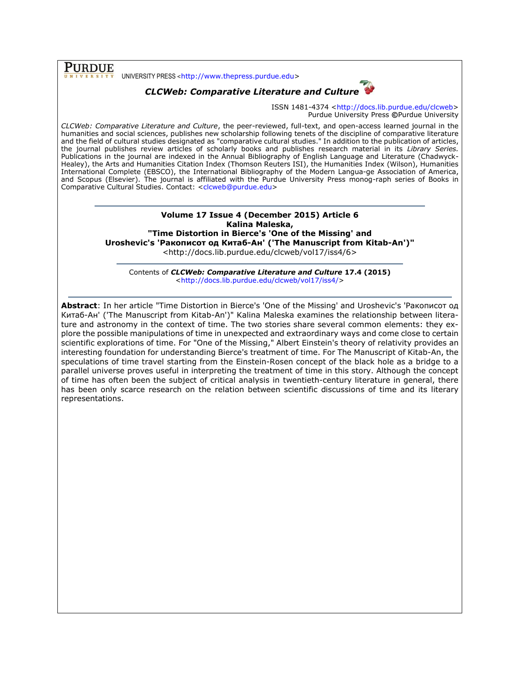**PURDUE** UNIVERSITY PRESS <[http://www.thepress.purdue.edu>](http://www.thepress.purdue.edu/)

## *CLCWeb: Comparative Literature and Culture*



ISSN 1481-4374 [<http://docs.lib.purdue.edu/clcweb>](http://docs.lib.purdue.edu/clcweb) Purdue University Press **©**Purdue University

*CLCWeb: Comparative Literature and Culture*, the peer-reviewed, full-text, and open-access learned journal in the humanities and social sciences, publishes new scholarship following tenets of the discipline of comparative literature and the field of cultural studies designated as "comparative cultural studies." In addition to the publication of articles, the journal publishes review articles of scholarly books and publishes research material in its *Library Series.*  Publications in the journal are indexed in the Annual Bibliography of English Language and Literature (Chadwyck-Healey), the Arts and Humanities Citation Index (Thomson Reuters ISI), the Humanities Index (Wilson), Humanities International Complete (EBSCO), the International Bibliography of the Modern Langua-ge Association of America, and Scopus (Elsevier). The journal is affiliated with the Purdue University Press monog-raph series of Books in Comparative Cultural Studies. Contact: [<clcweb@purdue.edu>](mailto:clcweb@purdue.edu)

### **Volume 17 Issue 4 (December 2015) Article 6 Kalina Maleska, "Time Distortion in Bierce's 'One of the Missing' and**

**Uroshevic's 'Ракописот од Китаб-Ан' ('The Manuscript from Kitab-An')"**

<http://docs.lib.purdue.edu/clcweb/vol17/iss4/6>

Contents of *CLCWeb: Comparative Literature and Culture* **17.4 (2015)** [<http://docs.lib.purdue.edu/clcweb/vol17/iss4/>](http://docs.lib.purdue.edu/clcweb/vol17/iss4/)

**Abstract**: In her article "Time Distortion in Bierce's 'One of the Missing' and Uroshevic's 'Ракописот од Китаб-Ан' ('The Manuscript from Kitab-An')" Kalina Maleska examines the relationship between literature and astronomy in the context of time. The two stories share several common elements: they explore the possible manipulations of time in unexpected and extraordinary ways and come close to certain scientific explorations of time. For "One of the Missing," Albert Einstein's theory of relativity provides an interesting foundation for understanding Bierce's treatment of time. For The Manuscript of Kitab-An, the speculations of time travel starting from the Einstein-Rosen concept of the black hole as a bridge to a parallel universe proves useful in interpreting the treatment of time in this story. Although the concept of time has often been the subject of critical analysis in twentieth-century literature in general, there has been only scarce research on the relation between scientific discussions of time and its literary representations.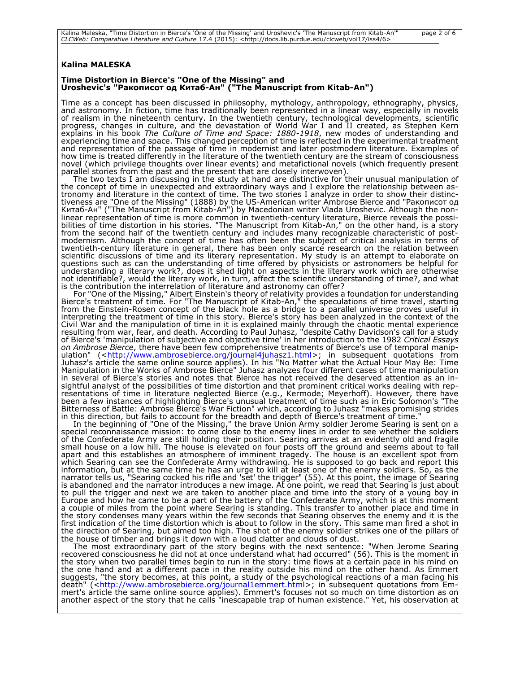### **Kalina MALESKA**

#### **Time Distortion in Bierce's "One of the Missing" and Uroshevic's "Ракописот од Китаб-Ан" ("The Manuscript from Kitab-An")**

Time as a concept has been discussed in philosophy, mythology, anthropology, ethnography, physics, and astronomy. In fiction, time has traditionally been represented in a linear way, especially in novels of realism in the nineteenth century. In the twentieth century, technological developments, scientific progress, changes in culture, and the devastation of World War I and II created, as Stephen Kern explains in his book *The Culture of Time and Space: 1880-1918*, new modes of understanding and experiencing time and space. This changed perception of time is reflected in the experimental treatment and representation of the passage of time in modernist and later postmodern literature. Examples of how time is treated differently in the literature of the twentieth century are the stream of consciousness novel (which privilege thoughts over linear events) and metafictional novels (which frequently present parallel stories from the past and the present that are closely interwoven).

The two texts I am discussing in the study at hand are distinctive for their unusual manipulation of the concept of time in unexpected and extraordinary ways and I explore the relationship between astronomy and literature in the context of time. The two stories I analyze in order to show their distinctiveness are "One of the Missing" (1888) by the US-American writer Ambrose Bierce and "Ракописот од Китаб-Ан" ("The Manuscript from Kitab-An") by Macedonian writer Vlada Uroshevic. Although the nonlinear representation of time is more common in twentieth-century literature, Bierce reveals the possibilities of time distortion in his stories. "The Manuscript from Kitab-An," on the other hand, is a story from the second half of the twentieth century and includes many recognizable characteristic of postmodernism. Although the concept of time has often been the subject of critical analysis in terms of twentieth-century literature in general, there has been only scarce research on the relation between scientific discussions of time and its literary representation. My study is an attempt to elaborate on questions such as can the understanding of time offered by physicists or astronomers be helpful for understanding a literary work?, does it shed light on aspects in the literary work which are otherwise not identifiable?, would the literary work, in turn, affect the scientific understanding of time?, and what is the contribution the interrelation of literature and astronomy can offer?

For "One of the Missing," Albert Einstein's theory of relativity provides a foundation for understanding Bierce's treatment of time. For "The Manuscript of Kitab-An," the speculations of time travel, starting from the Einstein-Rosen concept of the black hole as a bridge to a parallel universe proves useful in interpreting the treatment of time in this story. Bierce's story has been analyzed in the context of the Civil War and the manipulation of time in it is explained mainly through the chaotic mental experience resulting from war, fear, and death. According to Paul Juhasz, "despite Cathy Davidson's call for a study of Bierce's 'manipulation of subjective and objective time' in her introduction to the 1982 *Critical Essays on Ambrose Bierce*, there have been few comprehensive treatments of Bierce's use of temporal manip-ulation" ([<http://www.ambrosebierce.org/journal4juhasz1.html>](http://www.ambrosebierce.org/journal4juhasz1.html); in subsequent quotations from Juhasz's article the same online source applies). In his "No Matter what the Actual Hour May Be: Time Manipulation in the Works of Ambrose Bierce" Juhasz analyzes four different cases of time manipulation in several of Bierce's stories and notes that Bierce has not received the deserved attention as an insightful analyst of the possibilities of time distortion and that prominent critical works dealing with representations of time in literature neglected Bierce (e.g., Kermode; Meyerhoff). However, there have been a few instances of highlighting Bierce's unusual treatment of time such as in Eric Solomon's "The Bitterness of Battle: Ambrose Bierce's War Fiction" which, according to Juhasz "makes promising strides in this direction, but fails to account for the breadth and depth of Bierce's treatment of time."

In the beginning of "One of the Missing," the brave Union Army soldier Jerome Searing is sent on a special reconnaissance mission: to come close to the enemy lines in order to see whether the soldiers of the Confederate Army are still holding their position. Searing arrives at an evidently old and fragile small house on a low hill. The house is elevated on four posts off the ground and seems about to fall apart and this establishes an atmosphere of imminent tragedy. The house is an excellent spot from which Searing can see the Confederate Army withdrawing. He is supposed to go back and report this information, but at the same time he has an urge to kill at least one of the enemy soldiers. So, as the narrator tells us, "Searing cocked his rifle and 'set' the trigger" (55). At this point, the image of Searing is abandoned and the narrator introduces a new image. At one point, we read that Searing is just about to pull the trigger and next we are taken to another place and time into the story of a young boy in Europe and how he came to be a part of the battery of the Confederate Army, which is at this moment a couple of miles from the point where Searing is standing. This transfer to another place and time in the story condenses many years within the few seconds that Searing observes the enemy and it is the first indication of the time distortion which is about to follow in the story. This same man fired a shot in the direction of Searing, but aimed too high. The shot of the enemy soldier strikes one of the pillars of the house of timber and brings it down with a loud clatter and clouds of dust.

The most extraordinary part of the story begins with the next sentence: "When Jerome Searing recovered consciousness he did not at once understand what had occurred" (56). This is the moment in the story when two parallel times begin to run in the story: time flows at a certain pace in his mind on the one hand and at a different pace in the reality outside his mind on the other hand. As Emmert suggests, "the story becomes, at this point, a study of the psychological reactions of a man facing his death" ([<http://www.ambrosebierce.org/journal1emmert.html>](http://www.ambrosebierce.org/journal1emmert.html); in subsequent quotations from Emmert's article the same online source applies). Emmert's focuses not so much on time distortion as on another aspect of the story that he calls "inescapable trap of human existence." Yet, his observation at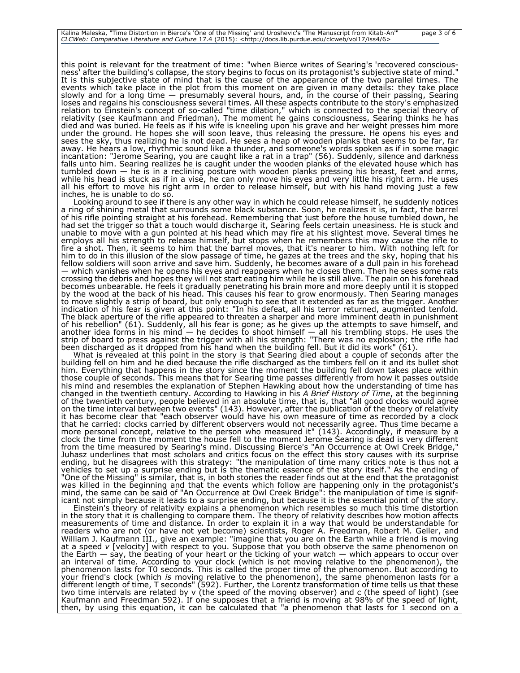this point is relevant for the treatment of time: "when Bierce writes of Searing's 'recovered consciousness' after the building's collapse, the story begins to focus on its protagonist's subjective state of mind." It is this subjective state of mind that is the cause of the appearance of the two parallel times. The events which take place in the plot from this moment on are given in many details: they take place slowly and for a long time — presumably several hours, and, in the course of their passing, Searing loses and regains his consciousness several times. All these aspects contribute to the story's emphasized relation to Einstein's concept of so-called "time dilation," which is connected to the special theory of relativity (see Kaufmann and Friedman). The moment he gains consciousness, Searing thinks he has died and was buried. He feels as if his wife is kneeling upon his grave and her weight presses him more under the ground. He hopes she will soon leave, thus releasing the pressure. He opens his eyes and sees the sky, thus realizing he is not dead. He sees a heap of wooden planks that seems to be far, far away. He hears a low, rhythmic sound like a thunder, and someone's words spoken as if in some magic incantation: "Jerome Searing, you are caught like a rat in a trap" (56). Suddenly, silence and darkness falls unto him. Searing realizes he is caught under the wooden planks of the elevated house which has tumbled down — he is in a reclining posture with wooden planks pressing his breast, feet and arms, while his head is stuck as if in a vise, he can only move his eyes and very little his right arm. He uses all his effort to move his right arm in order to release himself, but with his hand moving just a few inches, he is unable to do so.

Looking around to see if there is any other way in which he could release himself, he suddenly notices a ring of shining metal that surrounds some black substance. Soon, he realizes it is, in fact, the barrel of his rifle pointing straight at his forehead. Remembering that just before the house tumbled down, he had set the trigger so that a touch would discharge it, Searing feels certain uneasiness. He is stuck and unable to move with a gun pointed at his head which may fire at his slightest move. Several times he employs all his strength to release himself, but stops when he remembers this may cause the rifle to fire a shot. Then, it seems to him that the barrel moves, that it's nearer to him. With nothing left for him to do in this illusion of the slow passage of time, he gazes at the trees and the sky, hoping that his fellow soldiers will soon arrive and save him. Suddenly, he becomes aware of a dull pain in his forehead — which vanishes when he opens his eyes and reappears when he closes them. Then he sees some rats crossing the debris and hopes they will not start eating him while he is still alive. The pain on his forehead becomes unbearable. He feels it gradually penetrating his brain more and more deeply until it is stopped by the wood at the back of his head. This causes his fear to grow enormously. Then Searing manages to move slightly a strip of board, but only enough to see that it extended as far as the trigger. Another indication of his fear is given at this point: "In his defeat, all his terror returned, augmented tenfold. The black aperture of the rifle appeared to threaten a sharper and more imminent death in punishment of his rebellion" (61). Suddenly, all his fear is gone; as he gives up the attempts to save himself, and another idea forms in his mind — he decides to shoot himself — all his trembling stops. He uses the strip of board to press against the trigger with all his strength: "There was no explosion; the rifle had been discharged as it dropped from his hand when the building fell. But it did its work" (61).

What is revealed at this point in the story is that Searing died about a couple of seconds after the building fell on him and he died because the rifle discharged as the timbers fell on it and its bullet shot him. Everything that happens in the story since the moment the building fell down takes place within those couple of seconds. This means that for Searing time passes differently from how it passes outside his mind and resembles the explanation of Stephen Hawking about how the understanding of time has changed in the twentieth century. According to Hawking in his *A Brief History of Time*, at the beginning of the twentieth century, people believed in an absolute time, that is, that "all good clocks would agree on the time interval between two events" (143). However, after the publication of the theory of relativity it has become clear that "each observer would have his own measure of time as recorded by a clock that he carried: clocks carried by different observers would not necessarily agree. Thus time became a more personal concept, relative to the person who measured it" (143). Accordingly, if measure by a clock the time from the moment the house fell to the moment Jerome Searing is dead is very different from the time measured by Searing's mind. Discussing Bierce's "An Occurrence at Owl Creek Bridge," Juhasz underlines that most scholars and critics focus on the effect this story causes with its surprise ending, but he disagrees with this strategy: "the manipulation of time many critics note is thus not a vehicles to set up a surprise ending but is the thematic essence of the story itself." As the ending of "One of the Missing" is similar, that is, in both stories the reader finds out at the end that the protagonist was killed in the beginning and that the events which follow are happening only in the protagonist's mind, the same can be said of "An Occurrence at Owl Creek Bridge": the manipulation of time is significant not simply because it leads to a surprise ending, but because it is the essential point of the story.

Einstein's theory of relativity explains a phenomenon which resembles so much this time distortion in the story that it is challenging to compare them. The theory of relativity describes how motion affects measurements of time and distance. In order to explain it in a way that would be understandable for readers who are not (or have not yet become) scientists, Roger A. Freedman, Robert M. Geller, and William J. Kaufmann III., give an example: "imagine that you are on the Earth while a friend is moving at a speed *v* [velocity] with respect to you. Suppose that you both observe the same phenomenon on the Earth — say, the beating of your heart or the ticking of your watch — which appears to occur over an interval of time. According to your clock (which is not moving relative to the phenomenon), the phenomenon lasts for T0 seconds. This is called the proper time of the phenomenon. But according to your friend's clock (which *is* moving relative to the phenomenon), the same phenomenon lasts for a different length of time, T seconds" (592). Further, the Lorentz transformation of time tells us that these two time intervals are related by v (the speed of the moving observer) and c (the speed of light) (see Kaufmann and Freedman 592). If one supposes that a friend is moving at 98% of the speed of light, then, by using this equation, it can be calculated that "a phenomenon that lasts for 1 second on a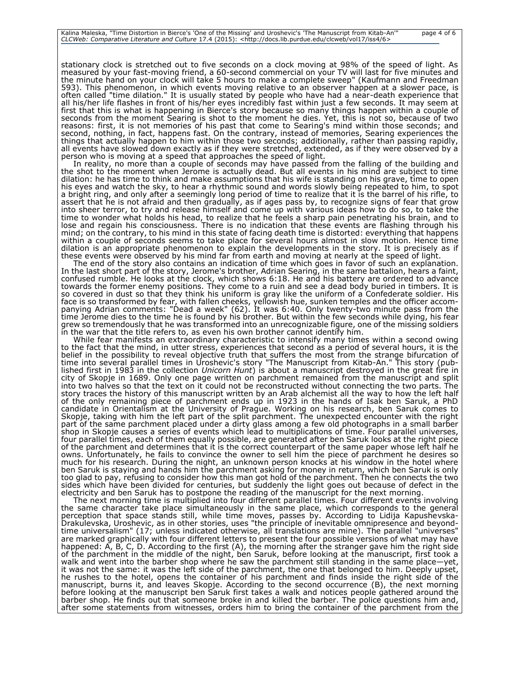stationary clock is stretched out to five seconds on a clock moving at 98% of the speed of light. As measured by your fast-moving friend, a 60-second commercial on your TV will last for five minutes and the minute hand on your clock will take 5 hours to make a complete sweep" (Kaufmann and Freedman 593). This phenomenon, in which events moving relative to an observer happen at a slower pace, is often called "time dilation." It is usually stated by people who have had a near-death experience that all his/her life flashes in front of his/her eyes incredibly fast within just a few seconds. It may seem at first that this is what is happening in Bierce's story because so many things happen within a couple of seconds from the moment Searing is shot to the moment he dies. Yet, this is not so, because of two reasons: first, it is not memories of his past that come to Searing's mind within those seconds; and second, nothing, in fact, happens fast. On the contrary, instead of memories, Searing experiences the things that actually happen to him within those two seconds; additionally, rather than passing rapidly, all events have slowed down exactly as if they were stretched, extended, as if they were observed by a person who is moving at a speed that approaches the speed of light.

In reality, no more than a couple of seconds may have passed from the falling of the building and the shot to the moment when Jerome is actually dead. But all events in his mind are subject to time dilation: he has time to think and make assumptions that his wife is standing on his grave, time to open his eyes and watch the sky, to hear a rhythmic sound and words slowly being repeated to him, to spot a bright ring, and only after a seemingly long period of time to realize that it is the barrel of his rifle, to assert that he is not afraid and then gradually, as if ages pass by, to recognize signs of fear that grow into sheer terror, to try and release himself and come up with various ideas how to do so, to take the time to wonder what holds his head, to realize that he feels a sharp pain penetrating his brain, and to lose and regain his consciousness. There is no indication that these events are flashing through his mind; on the contrary, to his mind in this state of facing death time is distorted: everything that happens within a couple of seconds seems to take place for several hours almost in slow motion. Hence time dilation is an appropriate phenomenon to explain the developments in the story. It is precisely as if these events were observed by his mind far from earth and moving at nearly at the speed of light.

The end of the story also contains an indication of time which goes in favor of such an explanation. In the last short part of the story, Jerome's brother, Adrian Searing, in the same battalion, hears a faint, confused rumble. He looks at the clock, which shows 6:18. He and his battery are ordered to advance towards the former enemy positions. They come to a ruin and see a dead body buried in timbers. It is so covered in dust so that they think his uniform is gray like the uniform of a Confederate soldier. His face is so transformed by fear, with fallen cheeks, yellowish hue, sunken temples and the officer accompanying Adrian comments: "Dead a week" (62). It was 6:40. Only twenty-two minute pass from the time Jerome dies to the time he is found by his brother. But within the few seconds while dying, his fear grew so tremendously that he was transformed into an unrecognizable figure, one of the missing soldiers in the war that the title refers to, as even his own brother cannot identify him.

While fear manifests an extraordinary characteristic to intensify many times within a second owing to the fact that the mind, in utter stress, experiences that second as a period of several hours, it is the belief in the possibility to reveal objective truth that suffers the most from the strange bifurcation of time into several parallel times in Uroshevic's story "The Manuscript from Kitab-An." This story (published first in 1983 in the collection *Unicorn Hunt*) is about a manuscript destroyed in the great fire in city of Skopje in 1689. Only one page written on parchment remained from the manuscript and split into two halves so that the text on it could not be reconstructed without connecting the two parts. The story traces the history of this manuscript written by an Arab alchemist all the way to how the left half of the only remaining piece of parchment ends up in 1923 in the hands of Isak ben Saruk, a PhD candidate in Orientalism at the University of Prague. Working on his research, ben Saruk comes to Skopje, taking with him the left part of the split parchment. The unexpected encounter with the right part of the same parchment placed under a dirty glass among a few old photographs in a small barber shop in Skopje causes a series of events which lead to multiplications of time. Four parallel universes, four parallel times, each of them equally possible, are generated after ben Saruk looks at the right piece of the parchment and determines that it is the correct counterpart of the same paper whose left half he owns. Unfortunately, he fails to convince the owner to sell him the piece of parchment he desires so much for his research. During the night, an unknown person knocks at his window in the hotel where ben Saruk is staying and hands him the parchment asking for money in return, which ben Saruk is only too glad to pay, refusing to consider how this man got hold of the parchment. Then he connects the two sides which have been divided for centuries, but suddenly the light goes out because of defect in the electricity and ben Saruk has to postpone the reading of the manuscript for the next morning.

The next morning time is multiplied into four different parallel times. Four different events involving the same character take place simultaneously in the same place, which corresponds to the general perception that space stands still, while time moves, passes by. According to Lidija Kapushevska-Drakulevska, Uroshevic, as in other stories, uses "the principle of inevitable omnipresence and beyondtime universalism" (17; unless indicated otherwise, all translations are mine). The parallel "universes" are marked graphically with four different letters to present the four possible versions of what may have happened: A, B, C, D. According to the first (A), the morning after the stranger gave him the right side of the parchment in the middle of the night, ben Saruk, before looking at the manuscript, first took a walk and went into the barber shop where he saw the parchment still standing in the same place—yet, it was not the same: it was the left side of the parchment, the one that belonged to him. Deeply upset, he rushes to the hotel, opens the container of his parchment and finds inside the right side of the manuscript, burns it, and leaves Skopje. According to the second occurrence (B), the next morning before looking at the manuscript ben Saruk first takes a walk and notices people gathered around the barber shop. He finds out that someone broke in and killed the barber. The police questions him and, after some statements from witnesses, orders him to bring the container of the parchment from the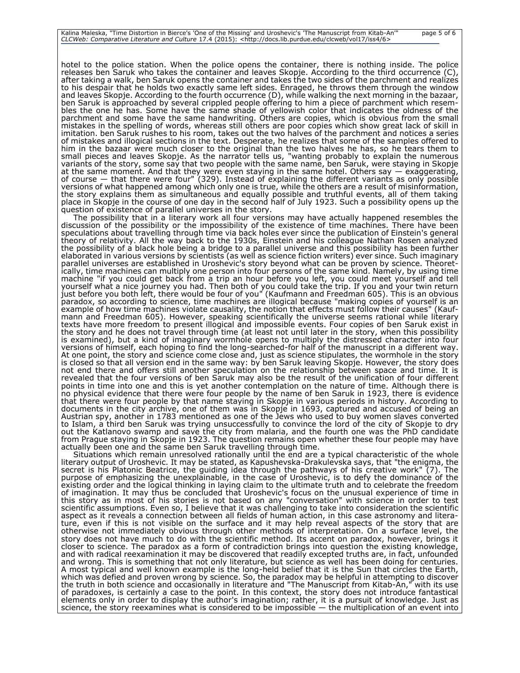hotel to the police station. When the police opens the container, there is nothing inside. The police releases ben Saruk who takes the container and leaves Skopje. According to the third occurrence (C), after taking a walk, ben Saruk opens the container and takes the two sides of the parchment and realizes to his despair that he holds two exactly same left sides. Enraged, he throws them through the window and leaves Skopje. According to the fourth occurrence (D), while walking the next morning in the bazaar, ben Saruk is approached by several crippled people offering to him a piece of parchment which resembles the one he has. Some have the same shade of yellowish color that indicates the oldness of the parchment and some have the same handwriting. Others are copies, which is obvious from the small mistakes in the spelling of words, whereas still others are poor copies which show great lack of skill in imitation. ben Saruk rushes to his room, takes out the two halves of the parchment and notices a series of mistakes and illogical sections in the text. Desperate, he realizes that some of the samples offered to him in the bazaar were much closer to the original than the two halves he has, so he tears them to small pieces and leaves Skopje. As the narrator tells us, "wanting probably to explain the numerous variants of the story, some say that two people with the same name, ben Saruk, were staying in Skopje at the same moment. And that they were even staying in the same hotel. Others say — exaggerating, of course — that there were four" (329). Instead of explaining the different variants as only possible versions of what happened among which only one is true, while the others are a result of misinformation, the story explains them as simultaneous and equally possible and truthful events, all of them taking place in Skopje in the course of one day in the second half of July 1923. Such a possibility opens up the question of existence of parallel universes in the story.

The possibility that in a literary work all four versions may have actually happened resembles the discussion of the possibility or the impossibility of the existence of time machines. There have been speculations about travelling through time via back holes ever since the publication of Einstein's general theory of relativity. All the way back to the 1930s, Einstein and his colleague Nathan Rosen analyzed the possibility of a black hole being a bridge to a parallel universe and this possibility has been further elaborated in various versions by scientists (as well as science fiction writers) ever since. Such imaginary parallel universes are established in Uroshevic's story beyond what can be proven by science. Theoretically, time machines can multiply one person into four persons of the same kind. Namely, by using time machine "if you could get back from a trip an hour before you left, you could meet yourself and tell yourself what a nice journey you had. Then both of you could take the trip. If you and your twin return just before you both left, there would be four of you" (Kaufmann and Freedman 605). This is an obvious paradox, so according to science, time machines are illogical because "making copies of yourself is an example of how time machines violate causality, the notion that effects must follow their causes" (Kaufmann and Freedman 605). However, speaking scientifically the universe seems rational while literary texts have more freedom to present illogical and impossible events. Four copies of ben Saruk exist in the story and he does not travel through time (at least not until later in the story, when this possibility is examined), but a kind of imaginary wormhole opens to multiply the distressed character into four versions of himself, each hoping to find the long-searched-for half of the manuscript in a different way. At one point, the story and science come close and, just as science stipulates, the wormhole in the story is closed so that all version end in the same way: by ben Saruk leaving Skopje. However, the story does not end there and offers still another speculation on the relationship between space and time. It is revealed that the four versions of ben Saruk may also be the result of the unification of four different points in time into one and this is yet another contemplation on the nature of time. Although there is no physical evidence that there were four people by the name of ben Saruk in 1923, there is evidence that there were four people by that name staying in Skopje in various periods in history. According to documents in the city archive, one of them was in Skopje in 1693, captured and accused of being an Austrian spy, another in 1783 mentioned as one of the Jews who used to buy women slaves converted to Islam, a third ben Saruk was trying unsuccessfully to convince the lord of the city of Skopje to dry out the Katlanovo swamp and save the city from malaria, and the fourth one was the PhD candidate from Prague staying in Skopje in 1923. The question remains open whether these four people may have actually been one and the same ben Saruk travelling through time.

Situations which remain unresolved rationally until the end are a typical characteristic of the whole literary output of Uroshevic. It may be stated, as Kapushevska-Drakulevska says, that "the enigma, the secret is his Platonic Beatrice, the guiding idea through the pathways of his creative work" (7). The purpose of emphasizing the unexplainable, in the case of Uroshevic, is to defy the dominance of the existing order and the logical thinking in laying claim to the ultimate truth and to celebrate the freedom of imagination. It may thus be concluded that Uroshevic's focus on the unusual experience of time in this story as in most of his stories is not based on any "conversation" with science in order to test scientific assumptions. Even so, I believe that it was challenging to take into consideration the scientific aspect as it reveals a connection between all fields of human action, in this case astronomy and literature, even if this is not visible on the surface and it may help reveal aspects of the story that are otherwise not immediately obvious through other methods of interpretation. On a surface level, the story does not have much to do with the scientific method. Its accent on paradox, however, brings it closer to science. The paradox as a form of contradiction brings into question the existing knowledge, and with radical reexamination it may be discovered that readily excepted truths are, in fact, unfounded and wrong. This is something that not only literature, but science as well has been doing for centuries. A most typical and well known example is the long-held belief that it is the Sun that circles the Earth, which was defied and proven wrong by science. So, the paradox may be helpful in attempting to discover the truth in both science and occasionally in literature and "The Manuscript from Kitab-An," with its use of paradoxes, is certainly a case to the point. In this context, the story does not introduce fantastical elements only in order to display the author's imagination; rather, it is a pursuit of knowledge. Just as science, the story reexamines what is considered to be impossible — the multiplication of an event into